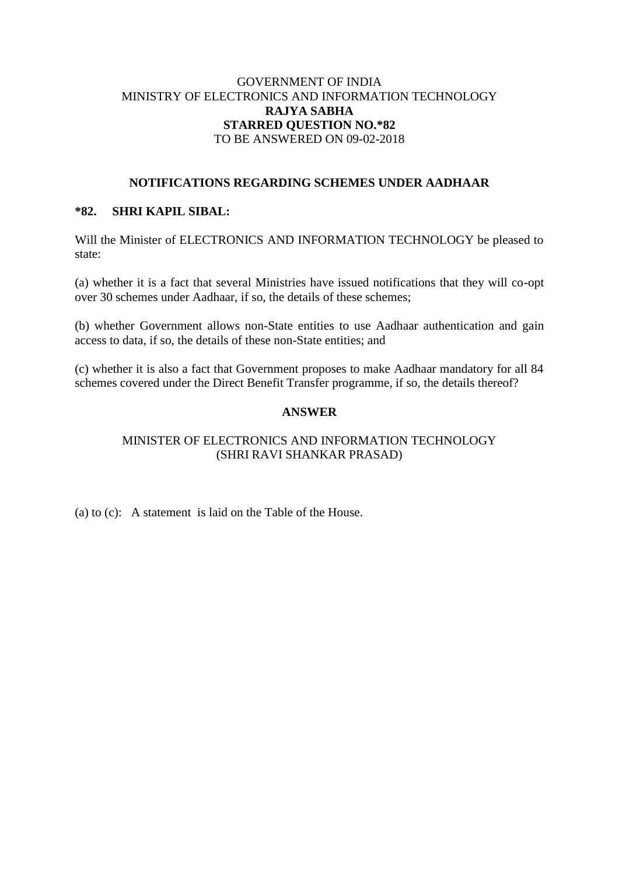# GOVERNMENT OF INDIA MINISTRY OF ELECTRONICS AND INFORMATION TECHNOLOGY **RAJYA SABHA STARRED QUESTION NO.\*82** TO BE ANSWERED ON 09-02-2018

### **NOTIFICATIONS REGARDING SCHEMES UNDER AADHAAR**

### **\*82. SHRI KAPIL SIBAL:**

Will the Minister of ELECTRONICS AND INFORMATION TECHNOLOGY be pleased to state:

(a) whether it is a fact that several Ministries have issued notifications that they will co-opt over 30 schemes under Aadhaar, if so, the details of these schemes;

(b) whether Government allows non-State entities to use Aadhaar authentication and gain access to data, if so, the details of these non-State entities; and

(c) whether it is also a fact that Government proposes to make Aadhaar mandatory for all 84 schemes covered under the Direct Benefit Transfer programme, if so, the details thereof?

#### **ANSWER**

## MINISTER OF ELECTRONICS AND INFORMATION TECHNOLOGY (SHRI RAVI SHANKAR PRASAD)

(a) to (c): A statement is laid on the Table of the House.